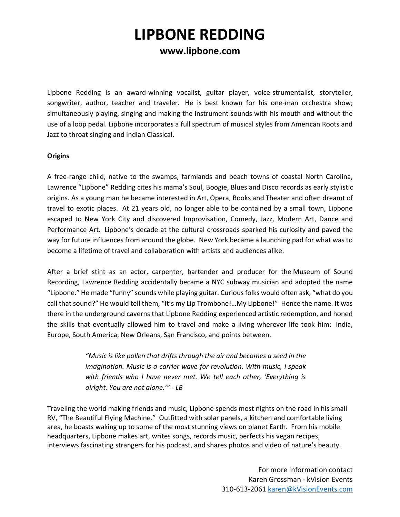## **www.lipbone.com**

Lipbone Redding is an award-winning vocalist, guitar player, voice-strumentalist, storyteller, songwriter, author, teacher and traveler. He is best known for his one-man orchestra show; simultaneously playing, singing and making the instrument sounds with his mouth and without the use of a loop pedal. Lipbone incorporates a full spectrum of musical styles from American Roots and Jazz to throat singing and Indian Classical.

#### **Origins**

A free-range child, native to the swamps, farmlands and beach towns of coastal North Carolina, Lawrence "Lipbone" Redding cites his mama's Soul, Boogie, Blues and Disco records as early stylistic origins. As a young man he became interested in Art, Opera, Books and Theater and often dreamt of travel to exotic places. At 21 years old, no longer able to be contained by a small town, Lipbone escaped to New York City and discovered Improvisation, Comedy, Jazz, Modern Art, Dance and Performance Art. Lipbone's decade at the cultural crossroads sparked his curiosity and paved the way for future influences from around the globe. New York became a launching pad for what was to become a lifetime of travel and collaboration with artists and audiences alike.

After a brief stint as an actor, carpenter, bartender and producer for the Museum of Sound Recording, Lawrence Redding accidentally became a NYC subway musician and adopted the name "Lipbone." He made "funny" sounds while playing guitar. Curious folks would often ask, "what do you call that sound?" He would tell them, "It's my Lip Trombone!…My Lipbone!" Hence the name. It was there in the underground caverns that Lipbone Redding experienced artistic redemption, and honed the skills that eventually allowed him to travel and make a living wherever life took him: India, Europe, South America, New Orleans, San Francisco, and points between.

> *"Music is like pollen that drifts through the air and becomes a seed in the imagination. Music is a carrier wave for revolution. With music, I speak with friends who I have never met. We tell each other, 'Everything is alright. You are not alone.'" - LB*

Traveling the world making friends and music, Lipbone spends most nights on the road in his small RV, "The Beautiful Flying Machine." Outfitted with solar panels, a kitchen and comfortable living area, he boasts waking up to some of the most stunning views on planet Earth. From his mobile headquarters, Lipbone makes art, writes songs, records music, perfects his vegan recipes, interviews fascinating strangers for his podcast, and shares photos and video of nature's beauty.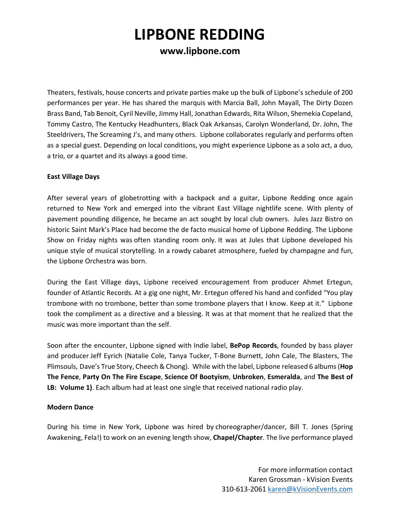## **www.lipbone.com**

Theaters, festivals, house concerts and private parties make up the bulk of Lipbone's schedule of 200 performances per year. He has shared the marquis with Marcia Ball, John Mayall, The Dirty Dozen Brass Band, Tab Benoit, Cyril Neville, Jimmy Hall, Jonathan Edwards, Rita Wilson, Shemekia Copeland, Tommy Castro, The Kentucky Headhunters, Black Oak Arkansas, Carolyn Wonderland, Dr. John, The Steeldrivers, The Screaming J's, and many others. Lipbone collaborates regularly and performs often as a special guest. Depending on local conditions, you might experience Lipbone as a solo act, a duo, a trio, or a quartet and its always a good time.

### **East Village Days**

After several years of globetrotting with a backpack and a guitar, Lipbone Redding once again returned to New York and emerged into the vibrant East Village nightlife scene. With plenty of pavement pounding diligence, he became an act sought by local club owners. Jules Jazz Bistro on historic Saint Mark's Place had become the de facto musical home of Lipbone Redding. The Lipbone Show on Friday nights was often standing room only. It was at Jules that Lipbone developed his unique style of musical storytelling. In a rowdy cabaret atmosphere, fueled by champagne and fun, the Lipbone Orchestra was born.

During the East Village days, Lipbone received encouragement from producer Ahmet Ertegun, founder of Atlantic Records. At a gig one night, Mr. Ertegun offered his hand and confided "You play trombone with no trombone, better than some trombone players that I know. Keep at it." Lipbone took the compliment as a directive and a blessing. It was at that moment that he realized that the music was more important than the self.

Soon after the encounter, Lipbone signed with Indie label, **BePop Records**, founded by bass player and producer Jeff Eyrich (Natalie Cole, Tanya Tucker, T-Bone Burnett, John Cale, The Blasters, The Plimsouls, Dave's True Story, Cheech & Chong). While with the label, Lipbone released 6 albums (**Hop The Fence**, **Party On The Fire Escape**, **Science Of Bootyism**, **Unbroken**, **Esmeralda**, and **The Best of LB: Volume 1)**. Each album had at least one single that received national radio play.

#### **Modern Dance**

During his time in New York, Lipbone was hired by choreographer/dancer, Bill T. Jones (Spring Awakening, Fela!) to work on an evening length show, **Chapel/Chapter**. The live performance played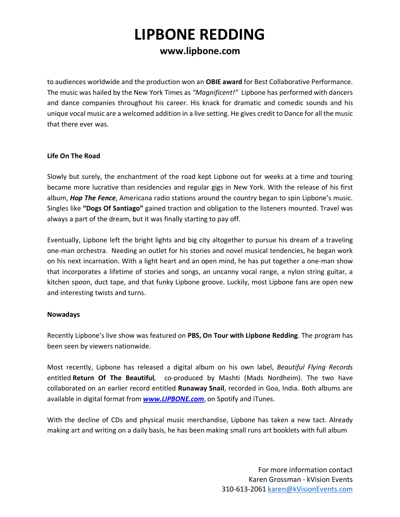## **www.lipbone.com**

to audiences worldwide and the production won an **OBIE award** for Best Collaborative Performance. The music was hailed by the New York Times as *"Magnificent!"* Lipbone has performed with dancers and dance companies throughout his career. His knack for dramatic and comedic sounds and his unique vocal music are a welcomed addition in a live setting. He gives credit to Dance for all the music that there ever was.

#### **Life On The Road**

Slowly but surely, the enchantment of the road kept Lipbone out for weeks at a time and touring became more lucrative than residencies and regular gigs in New York. With the release of his first album, *Hop The Fence*, Americana radio stations around the country began to spin Lipbone's music. Singles like **"Dogs Of Santiago"** gained traction and obligation to the listeners mounted. Travel was always a part of the dream, but it was finally starting to pay off.

Eventually, Lipbone left the bright lights and big city altogether to pursue his dream of a traveling one-man orchestra. Needing an outlet for his stories and novel musical tendencies, he began work on his next incarnation. With a light heart and an open mind, he has put together a one-man show that incorporates a lifetime of stories and songs, an uncanny vocal range, a nylon string guitar, a kitchen spoon, duct tape, and that funky Lipbone groove. Luckily, most Lipbone fans are open new and interesting twists and turns.

### **Nowadays**

Recently Lipbone's live show was featured on **PBS, On Tour with Lipbone Redding**. The program has been seen by viewers nationwide.

Most recently, Lipbone has released a digital album on his own label, *Beautiful Flying Records*  entitled **Return Of The Beautiful***,* co-produced by Mashti (Mads Nordheim). The two have collaborated on an earlier record entitled **Runaway Snail**, recorded in Goa, India. Both albums are available in digital format from *www.LIPBONE.com*, on Spotify and iTunes.

With the decline of CDs and physical music merchandise, Lipbone has taken a new tact. Already making art and writing on a daily basis, he has been making small runs art booklets with full album